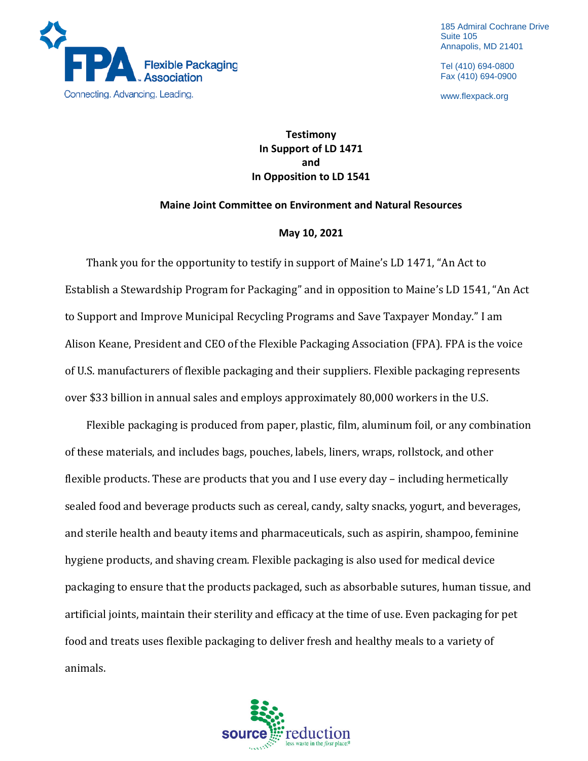

185 Admiral Cochrane Drive Suite 105 Annapolis, MD 21401

Tel (410) 694-0800 Fax (410) 694-0900

www.flexpack.org

## **Testimony In Support of LD 1471 and In Opposition to LD 1541**

## **Maine Joint Committee on Environment and Natural Resources**

## **May 10, 2021**

Thank you for the opportunity to testify in support of Maine's LD 1471, "An Act to Establish a Stewardship Program for Packaging" and in opposition to Maine's LD 1541, "An Act to Support and Improve Municipal Recycling Programs and Save Taxpayer Monday." I am Alison Keane, President and CEO of the Flexible Packaging Association (FPA). FPA is the voice of U.S. manufacturers of flexible packaging and their suppliers. Flexible packaging represents over \$33 billion in annual sales and employs approximately 80,000 workers in the U.S.

Flexible packaging is produced from paper, plastic, film, aluminum foil, or any combination of these materials, and includes bags, pouches, labels, liners, wraps, rollstock, and other flexible products. These are products that you and I use every day – including hermetically sealed food and beverage products such as cereal, candy, salty snacks, yogurt, and beverages, and sterile health and beauty items and pharmaceuticals, such as aspirin, shampoo, feminine hygiene products, and shaving cream. Flexible packaging is also used for medical device packaging to ensure that the products packaged, such as absorbable sutures, human tissue, and artificial joints, maintain their sterility and efficacy at the time of use. Even packaging for pet food and treats uses flexible packaging to deliver fresh and healthy meals to a variety of animals.

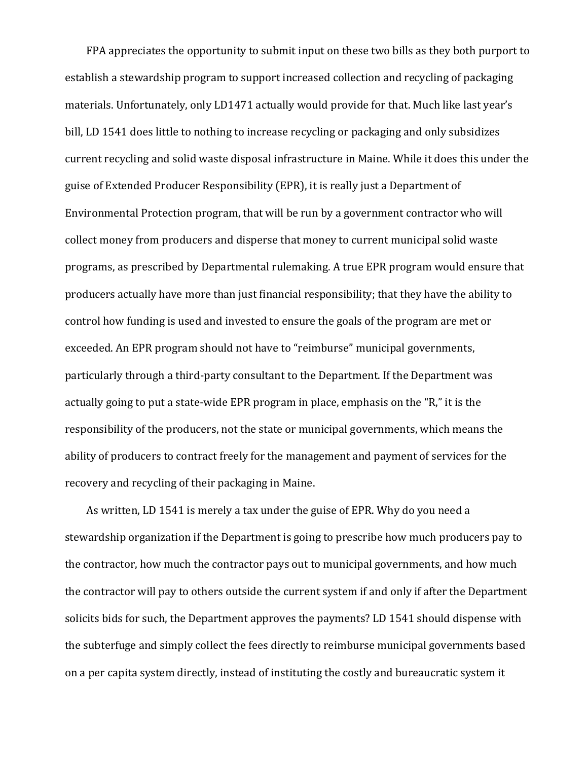FPA appreciates the opportunity to submit input on these two bills as they both purport to establish a stewardship program to support increased collection and recycling of packaging materials. Unfortunately, only LD1471 actually would provide for that. Much like last year's bill, LD 1541 does little to nothing to increase recycling or packaging and only subsidizes current recycling and solid waste disposal infrastructure in Maine. While it does this under the guise of Extended Producer Responsibility (EPR), it is really just a Department of Environmental Protection program, that will be run by a government contractor who will collect money from producers and disperse that money to current municipal solid waste programs, as prescribed by Departmental rulemaking. A true EPR program would ensure that producers actually have more than just financial responsibility; that they have the ability to control how funding is used and invested to ensure the goals of the program are met or exceeded. An EPR program should not have to "reimburse" municipal governments, particularly through a third-party consultant to the Department. If the Department was actually going to put a state-wide EPR program in place, emphasis on the "R," it is the responsibility of the producers, not the state or municipal governments, which means the ability of producers to contract freely for the management and payment of services for the recovery and recycling of their packaging in Maine.

As written, LD 1541 is merely a tax under the guise of EPR. Why do you need a stewardship organization if the Department is going to prescribe how much producers pay to the contractor, how much the contractor pays out to municipal governments, and how much the contractor will pay to others outside the current system if and only if after the Department solicits bids for such, the Department approves the payments? LD 1541 should dispense with the subterfuge and simply collect the fees directly to reimburse municipal governments based on a per capita system directly, instead of instituting the costly and bureaucratic system it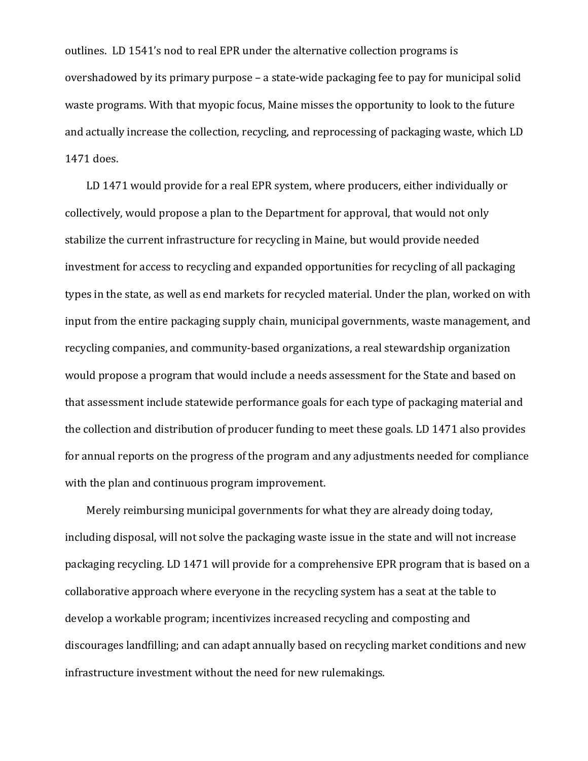outlines. LD 1541's nod to real EPR under the alternative collection programs is overshadowed by its primary purpose – a state-wide packaging fee to pay for municipal solid waste programs. With that myopic focus, Maine misses the opportunity to look to the future and actually increase the collection, recycling, and reprocessing of packaging waste, which LD 1471 does.

LD 1471 would provide for a real EPR system, where producers, either individually or collectively, would propose a plan to the Department for approval, that would not only stabilize the current infrastructure for recycling in Maine, but would provide needed investment for access to recycling and expanded opportunities for recycling of all packaging types in the state, as well as end markets for recycled material. Under the plan, worked on with input from the entire packaging supply chain, municipal governments, waste management, and recycling companies, and community-based organizations, a real stewardship organization would propose a program that would include a needs assessment for the State and based on that assessment include statewide performance goals for each type of packaging material and the collection and distribution of producer funding to meet these goals. LD 1471 also provides for annual reports on the progress of the program and any adjustments needed for compliance with the plan and continuous program improvement.

Merely reimbursing municipal governments for what they are already doing today, including disposal, will not solve the packaging waste issue in the state and will not increase packaging recycling. LD 1471 will provide for a comprehensive EPR program that is based on a collaborative approach where everyone in the recycling system has a seat at the table to develop a workable program; incentivizes increased recycling and composting and discourages landfilling; and can adapt annually based on recycling market conditions and new infrastructure investment without the need for new rulemakings.